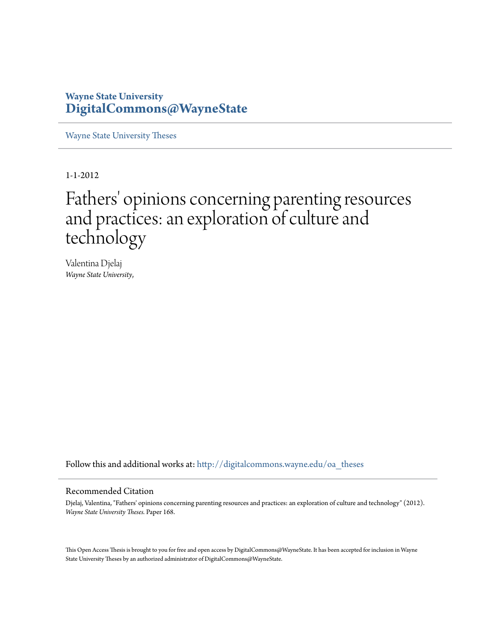### **Wayne State University [DigitalCommons@WayneState](http://digitalcommons.wayne.edu?utm_source=digitalcommons.wayne.edu%2Foa_theses%2F168&utm_medium=PDF&utm_campaign=PDFCoverPages)**

[Wayne State University Theses](http://digitalcommons.wayne.edu/oa_theses?utm_source=digitalcommons.wayne.edu%2Foa_theses%2F168&utm_medium=PDF&utm_campaign=PDFCoverPages)

1-1-2012

# Fathers' opinions concerning parenting resources and practices: an exploration of culture and technology

Valentina Djelaj *Wayne State University*,

Follow this and additional works at: [http://digitalcommons.wayne.edu/oa\\_theses](http://digitalcommons.wayne.edu/oa_theses?utm_source=digitalcommons.wayne.edu%2Foa_theses%2F168&utm_medium=PDF&utm_campaign=PDFCoverPages)

#### Recommended Citation

Djelaj, Valentina, "Fathers' opinions concerning parenting resources and practices: an exploration of culture and technology" (2012). *Wayne State University Theses.* Paper 168.

This Open Access Thesis is brought to you for free and open access by DigitalCommons@WayneState. It has been accepted for inclusion in Wayne State University Theses by an authorized administrator of DigitalCommons@WayneState.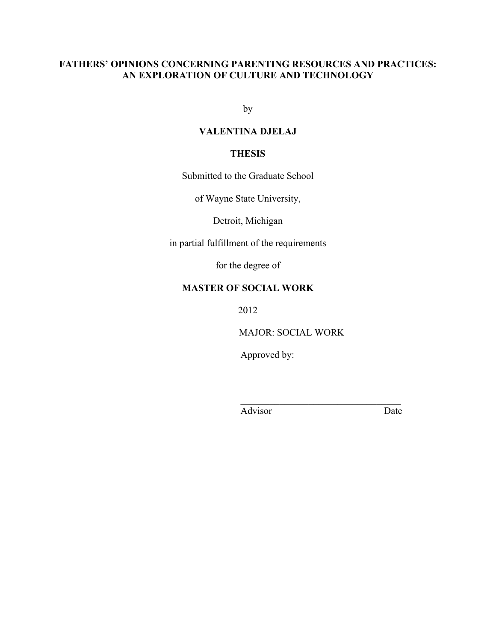### **FATHERS' OPINIONS CONCERNING PARENTING RESOURCES AND PRACTICES: AN EXPLORATION OF CULTURE AND TECHNOLOGY**

by

### **VALENTINA DJELAJ**

### **THESIS**

Submitted to the Graduate School

of Wayne State University,

Detroit, Michigan

in partial fulfillment of the requirements

for the degree of

### **MASTER OF SOCIAL WORK**

2012

MAJOR: SOCIAL WORK

 $\mathcal{L}_\text{max}$ 

Approved by:

Advisor Date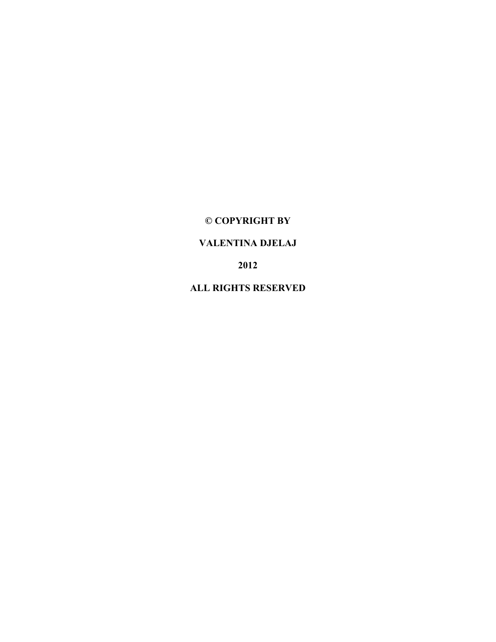### **© COPYRIGHT BY**

### **VALENTINA DJELAJ**

**2012**

**ALL RIGHTS RESERVED**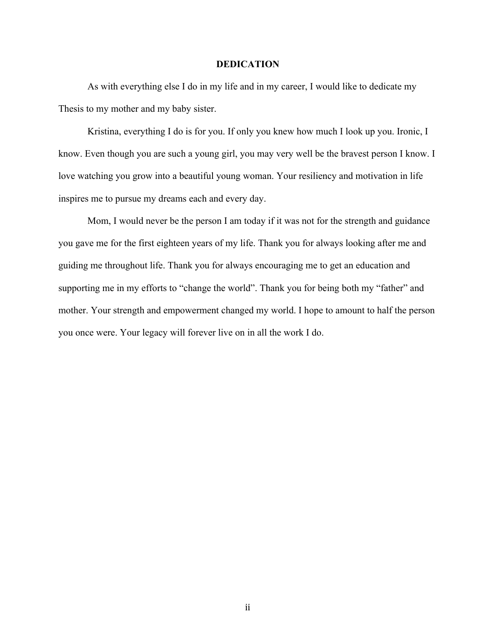#### **DEDICATION**

As with everything else I do in my life and in my career, I would like to dedicate my Thesis to my mother and my baby sister.

Kristina, everything I do is for you. If only you knew how much I look up you. Ironic, I know. Even though you are such a young girl, you may very well be the bravest person I know. I love watching you grow into a beautiful young woman. Your resiliency and motivation in life inspires me to pursue my dreams each and every day.

Mom, I would never be the person I am today if it was not for the strength and guidance you gave me for the first eighteen years of my life. Thank you for always looking after me and guiding me throughout life. Thank you for always encouraging me to get an education and supporting me in my efforts to "change the world". Thank you for being both my "father" and mother. Your strength and empowerment changed my world. I hope to amount to half the person you once were. Your legacy will forever live on in all the work I do.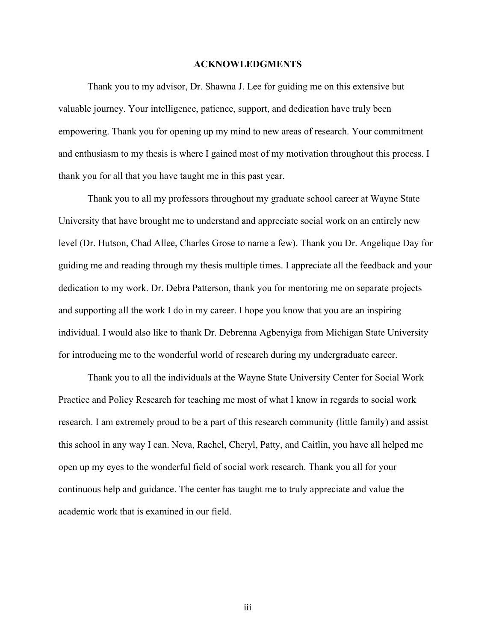#### **ACKNOWLEDGMENTS**

Thank you to my advisor, Dr. Shawna J. Lee for guiding me on this extensive but valuable journey. Your intelligence, patience, support, and dedication have truly been empowering. Thank you for opening up my mind to new areas of research. Your commitment and enthusiasm to my thesis is where I gained most of my motivation throughout this process. I thank you for all that you have taught me in this past year.

Thank you to all my professors throughout my graduate school career at Wayne State University that have brought me to understand and appreciate social work on an entirely new level (Dr. Hutson, Chad Allee, Charles Grose to name a few). Thank you Dr. Angelique Day for guiding me and reading through my thesis multiple times. I appreciate all the feedback and your dedication to my work. Dr. Debra Patterson, thank you for mentoring me on separate projects and supporting all the work I do in my career. I hope you know that you are an inspiring individual. I would also like to thank Dr. Debrenna Agbenyiga from Michigan State University for introducing me to the wonderful world of research during my undergraduate career.

Thank you to all the individuals at the Wayne State University Center for Social Work Practice and Policy Research for teaching me most of what I know in regards to social work research. I am extremely proud to be a part of this research community (little family) and assist this school in any way I can. Neva, Rachel, Cheryl, Patty, and Caitlin, you have all helped me open up my eyes to the wonderful field of social work research. Thank you all for your continuous help and guidance. The center has taught me to truly appreciate and value the academic work that is examined in our field.

iii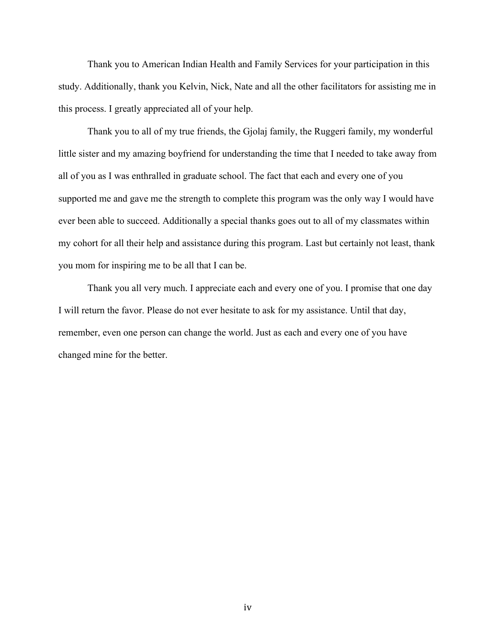Thank you to American Indian Health and Family Services for your participation in this study. Additionally, thank you Kelvin, Nick, Nate and all the other facilitators for assisting me in this process. I greatly appreciated all of your help.

Thank you to all of my true friends, the Gjolaj family, the Ruggeri family, my wonderful little sister and my amazing boyfriend for understanding the time that I needed to take away from all of you as I was enthralled in graduate school. The fact that each and every one of you supported me and gave me the strength to complete this program was the only way I would have ever been able to succeed. Additionally a special thanks goes out to all of my classmates within my cohort for all their help and assistance during this program. Last but certainly not least, thank you mom for inspiring me to be all that I can be.

Thank you all very much. I appreciate each and every one of you. I promise that one day I will return the favor. Please do not ever hesitate to ask for my assistance. Until that day, remember, even one person can change the world. Just as each and every one of you have changed mine for the better.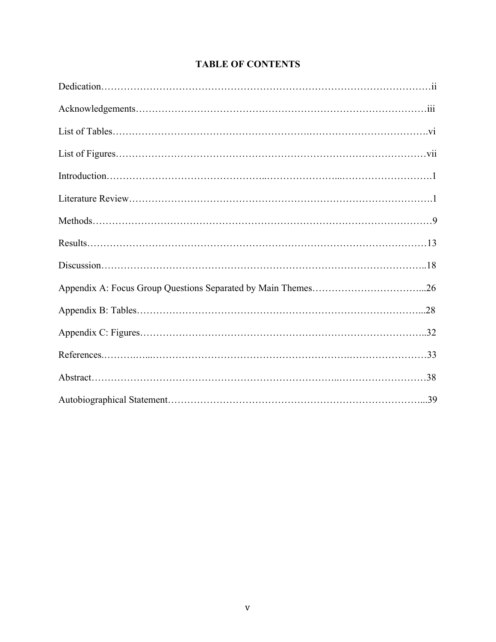### **TABLE OF CONTENTS**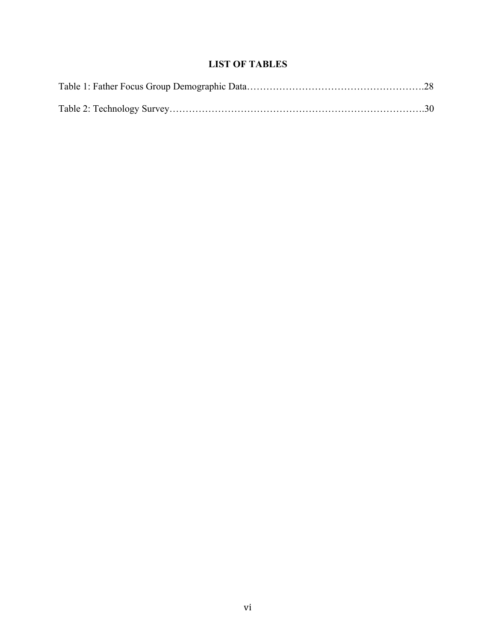### **LIST OF TABLES**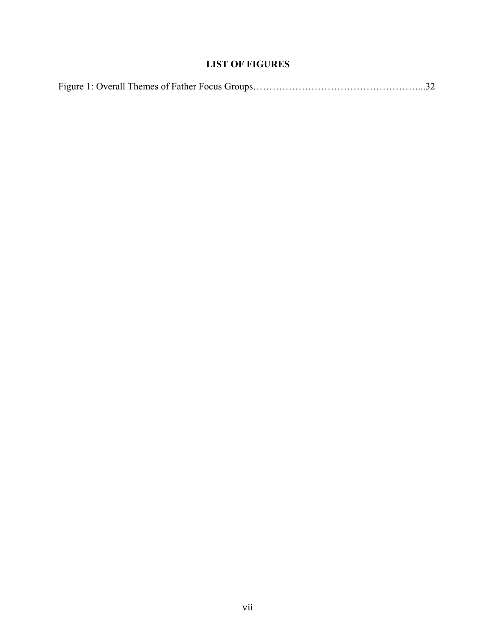### **LIST OF FIGURES**

|--|--|--|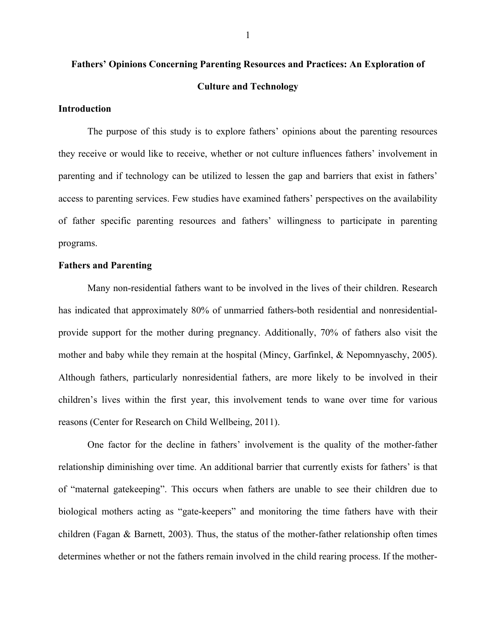# **Fathers' Opinions Concerning Parenting Resources and Practices: An Exploration of Culture and Technology**

#### **Introduction**

The purpose of this study is to explore fathers' opinions about the parenting resources they receive or would like to receive, whether or not culture influences fathers' involvement in parenting and if technology can be utilized to lessen the gap and barriers that exist in fathers' access to parenting services. Few studies have examined fathers' perspectives on the availability of father specific parenting resources and fathers' willingness to participate in parenting programs.

#### **Fathers and Parenting**

Many non-residential fathers want to be involved in the lives of their children. Research has indicated that approximately 80% of unmarried fathers-both residential and nonresidentialprovide support for the mother during pregnancy. Additionally, 70% of fathers also visit the mother and baby while they remain at the hospital (Mincy, Garfinkel, & Nepomnyaschy, 2005). Although fathers, particularly nonresidential fathers, are more likely to be involved in their children's lives within the first year, this involvement tends to wane over time for various reasons (Center for Research on Child Wellbeing, 2011).

One factor for the decline in fathers' involvement is the quality of the mother-father relationship diminishing over time. An additional barrier that currently exists for fathers' is that of "maternal gatekeeping". This occurs when fathers are unable to see their children due to biological mothers acting as "gate-keepers" and monitoring the time fathers have with their children (Fagan  $\&$  Barnett, 2003). Thus, the status of the mother-father relationship often times determines whether or not the fathers remain involved in the child rearing process. If the mother-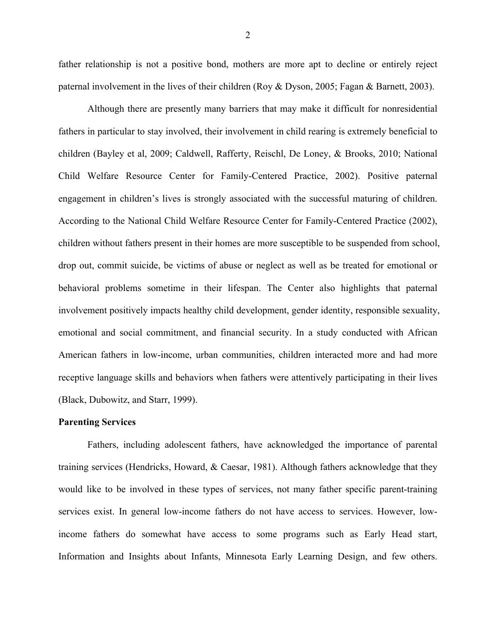father relationship is not a positive bond, mothers are more apt to decline or entirely reject paternal involvement in the lives of their children (Roy & Dyson, 2005; Fagan & Barnett, 2003).

Although there are presently many barriers that may make it difficult for nonresidential fathers in particular to stay involved, their involvement in child rearing is extremely beneficial to children (Bayley et al, 2009; Caldwell, Rafferty, Reischl, De Loney, & Brooks, 2010; National Child Welfare Resource Center for Family-Centered Practice, 2002). Positive paternal engagement in children's lives is strongly associated with the successful maturing of children. According to the National Child Welfare Resource Center for Family-Centered Practice (2002), children without fathers present in their homes are more susceptible to be suspended from school, drop out, commit suicide, be victims of abuse or neglect as well as be treated for emotional or behavioral problems sometime in their lifespan. The Center also highlights that paternal involvement positively impacts healthy child development, gender identity, responsible sexuality, emotional and social commitment, and financial security. In a study conducted with African American fathers in low-income, urban communities, children interacted more and had more receptive language skills and behaviors when fathers were attentively participating in their lives (Black, Dubowitz, and Starr, 1999).

#### **Parenting Services**

Fathers, including adolescent fathers, have acknowledged the importance of parental training services (Hendricks, Howard, & Caesar, 1981). Although fathers acknowledge that they would like to be involved in these types of services, not many father specific parent-training services exist. In general low-income fathers do not have access to services. However, lowincome fathers do somewhat have access to some programs such as Early Head start, Information and Insights about Infants, Minnesota Early Learning Design, and few others.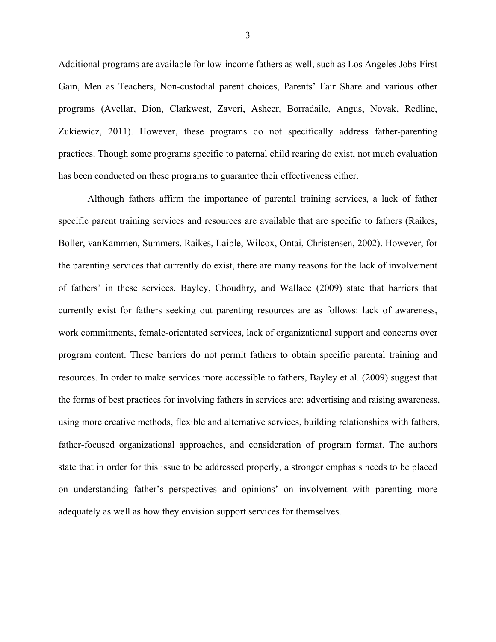Additional programs are available for low-income fathers as well, such as Los Angeles Jobs-First Gain, Men as Teachers, Non-custodial parent choices, Parents' Fair Share and various other programs (Avellar, Dion, Clarkwest, Zaveri, Asheer, Borradaile, Angus, Novak, Redline, Zukiewicz, 2011). However, these programs do not specifically address father-parenting practices. Though some programs specific to paternal child rearing do exist, not much evaluation has been conducted on these programs to guarantee their effectiveness either.

Although fathers affirm the importance of parental training services, a lack of father specific parent training services and resources are available that are specific to fathers (Raikes, Boller, vanKammen, Summers, Raikes, Laible, Wilcox, Ontai, Christensen, 2002). However, for the parenting services that currently do exist, there are many reasons for the lack of involvement of fathers' in these services. Bayley, Choudhry, and Wallace (2009) state that barriers that currently exist for fathers seeking out parenting resources are as follows: lack of awareness, work commitments, female-orientated services, lack of organizational support and concerns over program content. These barriers do not permit fathers to obtain specific parental training and resources. In order to make services more accessible to fathers, Bayley et al. (2009) suggest that the forms of best practices for involving fathers in services are: advertising and raising awareness, using more creative methods, flexible and alternative services, building relationships with fathers, father-focused organizational approaches, and consideration of program format. The authors state that in order for this issue to be addressed properly, a stronger emphasis needs to be placed on understanding father's perspectives and opinions' on involvement with parenting more adequately as well as how they envision support services for themselves.

3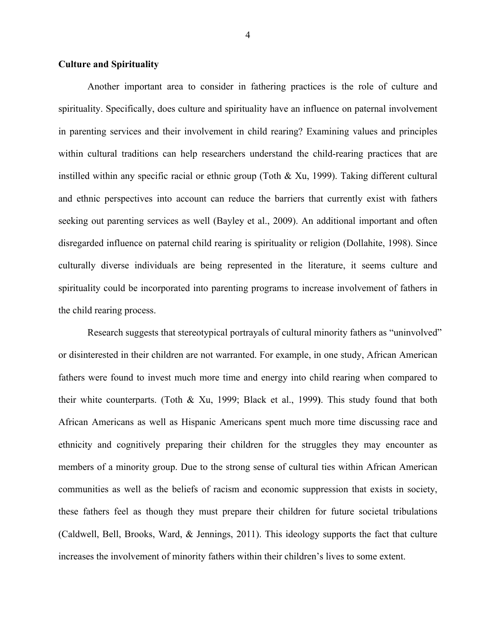#### **Culture and Spirituality**

Another important area to consider in fathering practices is the role of culture and spirituality. Specifically, does culture and spirituality have an influence on paternal involvement in parenting services and their involvement in child rearing? Examining values and principles within cultural traditions can help researchers understand the child-rearing practices that are instilled within any specific racial or ethnic group (Toth  $\&$  Xu, 1999). Taking different cultural and ethnic perspectives into account can reduce the barriers that currently exist with fathers seeking out parenting services as well (Bayley et al., 2009). An additional important and often disregarded influence on paternal child rearing is spirituality or religion (Dollahite, 1998). Since culturally diverse individuals are being represented in the literature, it seems culture and spirituality could be incorporated into parenting programs to increase involvement of fathers in the child rearing process.

Research suggests that stereotypical portrayals of cultural minority fathers as "uninvolved" or disinterested in their children are not warranted. For example, in one study, African American fathers were found to invest much more time and energy into child rearing when compared to their white counterparts. (Toth & Xu, 1999; Black et al., 1999**)**. This study found that both African Americans as well as Hispanic Americans spent much more time discussing race and ethnicity and cognitively preparing their children for the struggles they may encounter as members of a minority group. Due to the strong sense of cultural ties within African American communities as well as the beliefs of racism and economic suppression that exists in society, these fathers feel as though they must prepare their children for future societal tribulations (Caldwell, Bell, Brooks, Ward, & Jennings, 2011). This ideology supports the fact that culture increases the involvement of minority fathers within their children's lives to some extent.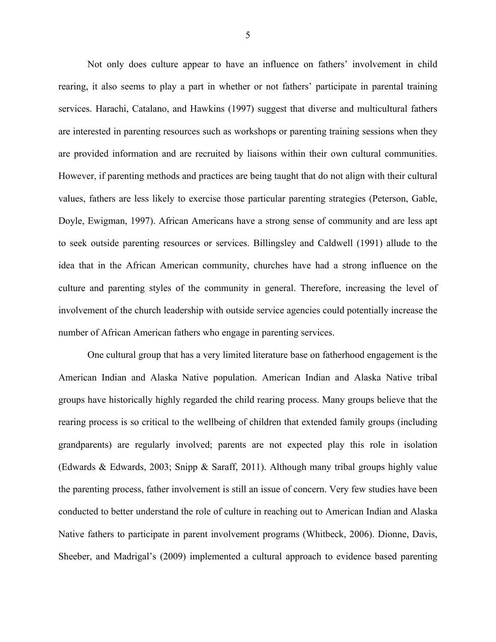Not only does culture appear to have an influence on fathers' involvement in child rearing, it also seems to play a part in whether or not fathers' participate in parental training services. Harachi, Catalano, and Hawkins (1997) suggest that diverse and multicultural fathers are interested in parenting resources such as workshops or parenting training sessions when they are provided information and are recruited by liaisons within their own cultural communities. However, if parenting methods and practices are being taught that do not align with their cultural values, fathers are less likely to exercise those particular parenting strategies (Peterson, Gable, Doyle, Ewigman, 1997). African Americans have a strong sense of community and are less apt to seek outside parenting resources or services. Billingsley and Caldwell (1991) allude to the idea that in the African American community, churches have had a strong influence on the culture and parenting styles of the community in general. Therefore, increasing the level of involvement of the church leadership with outside service agencies could potentially increase the number of African American fathers who engage in parenting services.

One cultural group that has a very limited literature base on fatherhood engagement is the American Indian and Alaska Native population. American Indian and Alaska Native tribal groups have historically highly regarded the child rearing process. Many groups believe that the rearing process is so critical to the wellbeing of children that extended family groups (including grandparents) are regularly involved; parents are not expected play this role in isolation (Edwards & Edwards, 2003; Snipp & Saraff, 2011). Although many tribal groups highly value the parenting process, father involvement is still an issue of concern. Very few studies have been conducted to better understand the role of culture in reaching out to American Indian and Alaska Native fathers to participate in parent involvement programs (Whitbeck, 2006). Dionne, Davis, Sheeber, and Madrigal's (2009) implemented a cultural approach to evidence based parenting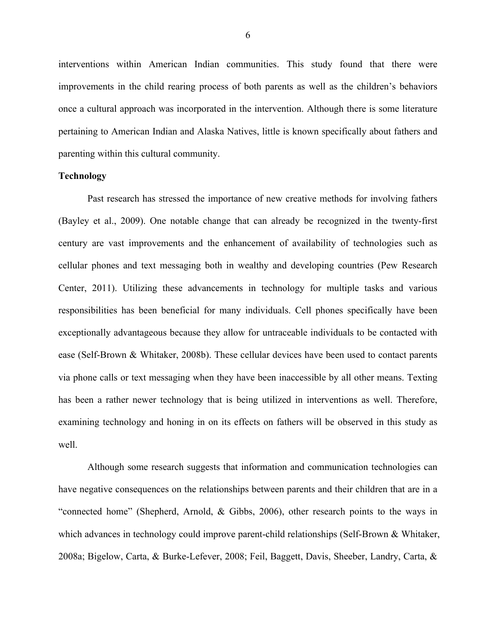interventions within American Indian communities. This study found that there were improvements in the child rearing process of both parents as well as the children's behaviors once a cultural approach was incorporated in the intervention. Although there is some literature pertaining to American Indian and Alaska Natives, little is known specifically about fathers and parenting within this cultural community.

#### **Technology**

Past research has stressed the importance of new creative methods for involving fathers (Bayley et al., 2009). One notable change that can already be recognized in the twenty-first century are vast improvements and the enhancement of availability of technologies such as cellular phones and text messaging both in wealthy and developing countries (Pew Research Center, 2011). Utilizing these advancements in technology for multiple tasks and various responsibilities has been beneficial for many individuals. Cell phones specifically have been exceptionally advantageous because they allow for untraceable individuals to be contacted with ease (Self-Brown & Whitaker, 2008b). These cellular devices have been used to contact parents via phone calls or text messaging when they have been inaccessible by all other means. Texting has been a rather newer technology that is being utilized in interventions as well. Therefore, examining technology and honing in on its effects on fathers will be observed in this study as well.

Although some research suggests that information and communication technologies can have negative consequences on the relationships between parents and their children that are in a "connected home" (Shepherd, Arnold, & Gibbs, 2006), other research points to the ways in which advances in technology could improve parent-child relationships (Self-Brown & Whitaker, 2008a; Bigelow, Carta, & Burke-Lefever, 2008; Feil, Baggett, Davis, Sheeber, Landry, Carta, &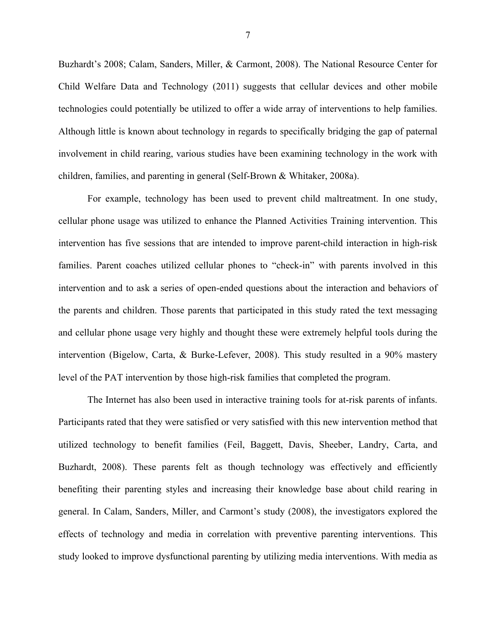Buzhardt's 2008; Calam, Sanders, Miller, & Carmont, 2008). The National Resource Center for Child Welfare Data and Technology (2011) suggests that cellular devices and other mobile technologies could potentially be utilized to offer a wide array of interventions to help families. Although little is known about technology in regards to specifically bridging the gap of paternal involvement in child rearing, various studies have been examining technology in the work with children, families, and parenting in general (Self-Brown & Whitaker, 2008a).

For example, technology has been used to prevent child maltreatment. In one study, cellular phone usage was utilized to enhance the Planned Activities Training intervention. This intervention has five sessions that are intended to improve parent-child interaction in high-risk families. Parent coaches utilized cellular phones to "check-in" with parents involved in this intervention and to ask a series of open-ended questions about the interaction and behaviors of the parents and children. Those parents that participated in this study rated the text messaging and cellular phone usage very highly and thought these were extremely helpful tools during the intervention (Bigelow, Carta, & Burke-Lefever, 2008). This study resulted in a 90% mastery level of the PAT intervention by those high-risk families that completed the program.

The Internet has also been used in interactive training tools for at-risk parents of infants. Participants rated that they were satisfied or very satisfied with this new intervention method that utilized technology to benefit families (Feil, Baggett, Davis, Sheeber, Landry, Carta, and Buzhardt, 2008). These parents felt as though technology was effectively and efficiently benefiting their parenting styles and increasing their knowledge base about child rearing in general. In Calam, Sanders, Miller, and Carmont's study (2008), the investigators explored the effects of technology and media in correlation with preventive parenting interventions. This study looked to improve dysfunctional parenting by utilizing media interventions. With media as

7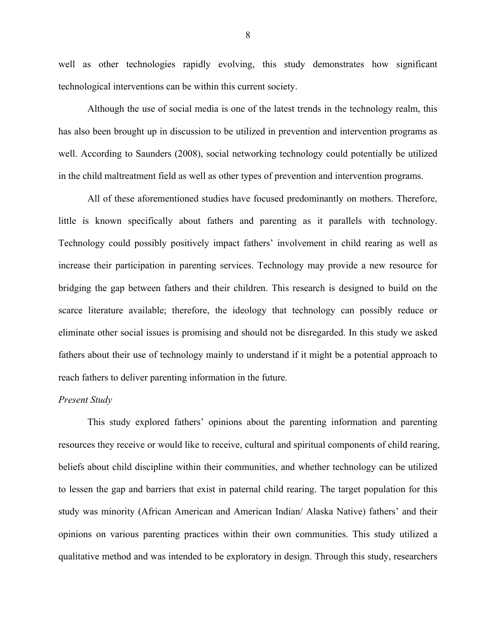well as other technologies rapidly evolving, this study demonstrates how significant technological interventions can be within this current society.

Although the use of social media is one of the latest trends in the technology realm, this has also been brought up in discussion to be utilized in prevention and intervention programs as well. According to Saunders (2008), social networking technology could potentially be utilized in the child maltreatment field as well as other types of prevention and intervention programs.

All of these aforementioned studies have focused predominantly on mothers. Therefore, little is known specifically about fathers and parenting as it parallels with technology. Technology could possibly positively impact fathers' involvement in child rearing as well as increase their participation in parenting services. Technology may provide a new resource for bridging the gap between fathers and their children. This research is designed to build on the scarce literature available; therefore, the ideology that technology can possibly reduce or eliminate other social issues is promising and should not be disregarded. In this study we asked fathers about their use of technology mainly to understand if it might be a potential approach to reach fathers to deliver parenting information in the future.

#### *Present Study*

This study explored fathers' opinions about the parenting information and parenting resources they receive or would like to receive, cultural and spiritual components of child rearing, beliefs about child discipline within their communities, and whether technology can be utilized to lessen the gap and barriers that exist in paternal child rearing. The target population for this study was minority (African American and American Indian/ Alaska Native) fathers' and their opinions on various parenting practices within their own communities. This study utilized a qualitative method and was intended to be exploratory in design. Through this study, researchers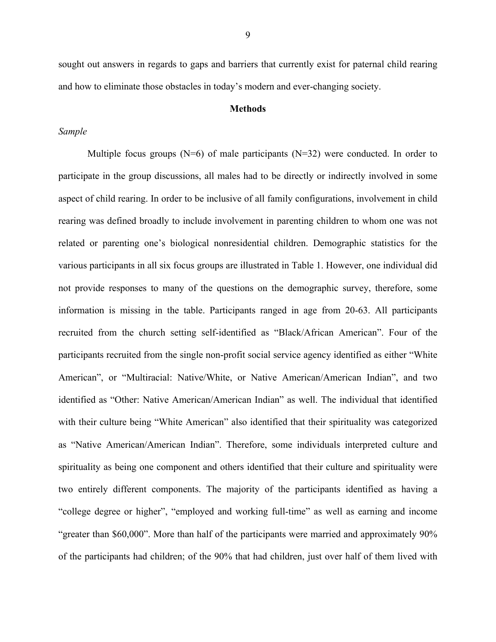sought out answers in regards to gaps and barriers that currently exist for paternal child rearing and how to eliminate those obstacles in today's modern and ever-changing society.

#### **Methods**

#### *Sample*

Multiple focus groups  $(N=6)$  of male participants  $(N=32)$  were conducted. In order to participate in the group discussions, all males had to be directly or indirectly involved in some aspect of child rearing. In order to be inclusive of all family configurations, involvement in child rearing was defined broadly to include involvement in parenting children to whom one was not related or parenting one's biological nonresidential children. Demographic statistics for the various participants in all six focus groups are illustrated in Table 1. However, one individual did not provide responses to many of the questions on the demographic survey, therefore, some information is missing in the table. Participants ranged in age from 20-63. All participants recruited from the church setting self-identified as "Black/African American". Four of the participants recruited from the single non-profit social service agency identified as either "White American", or "Multiracial: Native/White, or Native American/American Indian", and two identified as "Other: Native American/American Indian" as well. The individual that identified with their culture being "White American" also identified that their spirituality was categorized as "Native American/American Indian". Therefore, some individuals interpreted culture and spirituality as being one component and others identified that their culture and spirituality were two entirely different components. The majority of the participants identified as having a "college degree or higher", "employed and working full-time" as well as earning and income "greater than \$60,000". More than half of the participants were married and approximately 90% of the participants had children; of the 90% that had children, just over half of them lived with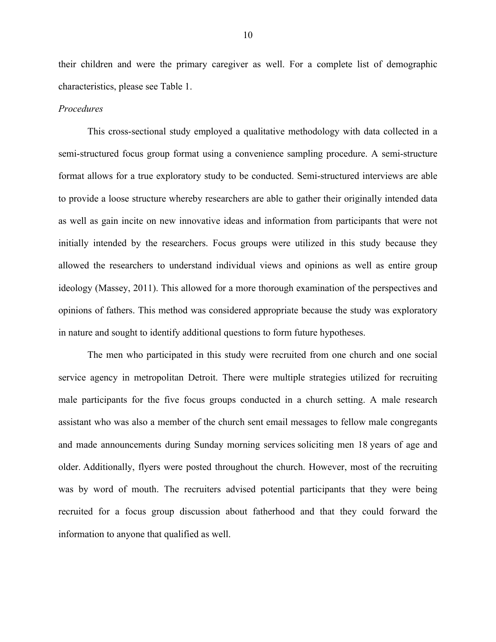their children and were the primary caregiver as well. For a complete list of demographic characteristics, please see Table 1.

#### *Procedures*

This cross-sectional study employed a qualitative methodology with data collected in a semi-structured focus group format using a convenience sampling procedure. A semi-structure format allows for a true exploratory study to be conducted. Semi-structured interviews are able to provide a loose structure whereby researchers are able to gather their originally intended data as well as gain incite on new innovative ideas and information from participants that were not initially intended by the researchers. Focus groups were utilized in this study because they allowed the researchers to understand individual views and opinions as well as entire group ideology (Massey, 2011). This allowed for a more thorough examination of the perspectives and opinions of fathers. This method was considered appropriate because the study was exploratory in nature and sought to identify additional questions to form future hypotheses.

The men who participated in this study were recruited from one church and one social service agency in metropolitan Detroit. There were multiple strategies utilized for recruiting male participants for the five focus groups conducted in a church setting. A male research assistant who was also a member of the church sent email messages to fellow male congregants and made announcements during Sunday morning services soliciting men 18 years of age and older. Additionally, flyers were posted throughout the church. However, most of the recruiting was by word of mouth. The recruiters advised potential participants that they were being recruited for a focus group discussion about fatherhood and that they could forward the information to anyone that qualified as well.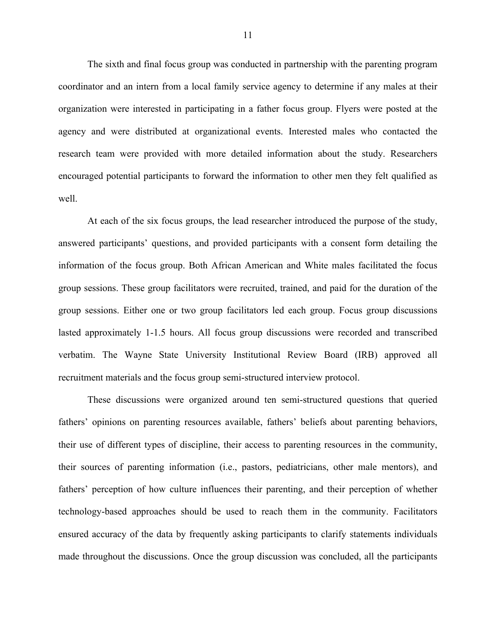The sixth and final focus group was conducted in partnership with the parenting program coordinator and an intern from a local family service agency to determine if any males at their organization were interested in participating in a father focus group. Flyers were posted at the agency and were distributed at organizational events. Interested males who contacted the research team were provided with more detailed information about the study. Researchers encouraged potential participants to forward the information to other men they felt qualified as well.

At each of the six focus groups, the lead researcher introduced the purpose of the study, answered participants' questions, and provided participants with a consent form detailing the information of the focus group. Both African American and White males facilitated the focus group sessions. These group facilitators were recruited, trained, and paid for the duration of the group sessions. Either one or two group facilitators led each group. Focus group discussions lasted approximately 1-1.5 hours. All focus group discussions were recorded and transcribed verbatim. The Wayne State University Institutional Review Board (IRB) approved all recruitment materials and the focus group semi-structured interview protocol.

These discussions were organized around ten semi-structured questions that queried fathers' opinions on parenting resources available, fathers' beliefs about parenting behaviors, their use of different types of discipline, their access to parenting resources in the community, their sources of parenting information (i.e., pastors, pediatricians, other male mentors), and fathers' perception of how culture influences their parenting, and their perception of whether technology-based approaches should be used to reach them in the community. Facilitators ensured accuracy of the data by frequently asking participants to clarify statements individuals made throughout the discussions. Once the group discussion was concluded, all the participants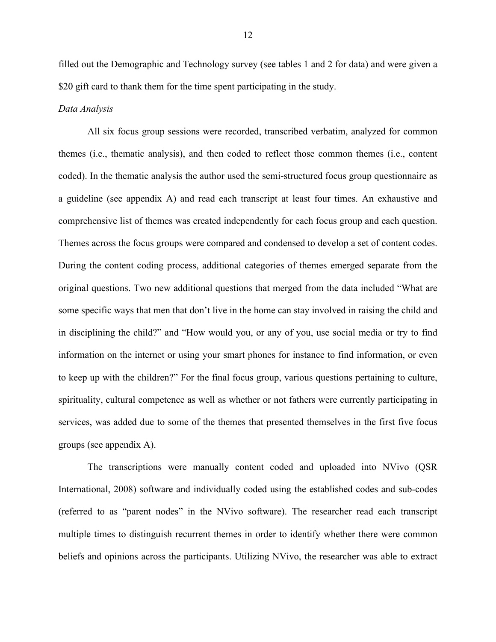filled out the Demographic and Technology survey (see tables 1 and 2 for data) and were given a \$20 gift card to thank them for the time spent participating in the study.

#### *Data Analysis*

All six focus group sessions were recorded, transcribed verbatim, analyzed for common themes (i.e., thematic analysis), and then coded to reflect those common themes (i.e., content coded). In the thematic analysis the author used the semi-structured focus group questionnaire as a guideline (see appendix A) and read each transcript at least four times. An exhaustive and comprehensive list of themes was created independently for each focus group and each question. Themes across the focus groups were compared and condensed to develop a set of content codes. During the content coding process, additional categories of themes emerged separate from the original questions. Two new additional questions that merged from the data included "What are some specific ways that men that don't live in the home can stay involved in raising the child and in disciplining the child?" and "How would you, or any of you, use social media or try to find information on the internet or using your smart phones for instance to find information, or even to keep up with the children?" For the final focus group, various questions pertaining to culture, spirituality, cultural competence as well as whether or not fathers were currently participating in services, was added due to some of the themes that presented themselves in the first five focus groups (see appendix A).

The transcriptions were manually content coded and uploaded into NVivo (QSR International, 2008) software and individually coded using the established codes and sub-codes (referred to as "parent nodes" in the NVivo software). The researcher read each transcript multiple times to distinguish recurrent themes in order to identify whether there were common beliefs and opinions across the participants. Utilizing NVivo, the researcher was able to extract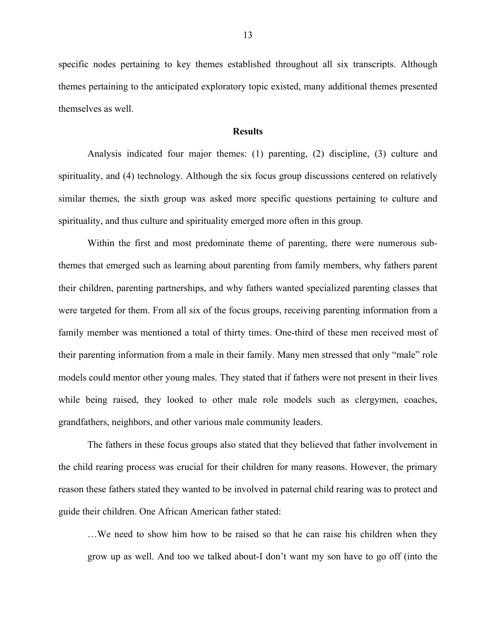specific nodes pertaining to key themes established throughout all six transcripts. Although themes pertaining to the anticipated exploratory topic existed, many additional themes presented themselves as well.

#### **Results**

Analysis indicated four major themes: (1) parenting, (2) discipline, (3) culture and spirituality, and (4) technology. Although the six focus group discussions centered on relatively similar themes, the sixth group was asked more specific questions pertaining to culture and spirituality, and thus culture and spirituality emerged more often in this group.

Within the first and most predominate theme of parenting, there were numerous subthemes that emerged such as learning about parenting from family members, why fathers parent their children, parenting partnerships, and why fathers wanted specialized parenting classes that were targeted for them. From all six of the focus groups, receiving parenting information from a family member was mentioned a total of thirty times. One-third of these men received most of their parenting information from a male in their family. Many men stressed that only "male" role models could mentor other young males. They stated that if fathers were not present in their lives while being raised, they looked to other male role models such as clergymen, coaches, grandfathers, neighbors, and other various male community leaders.

The fathers in these focus groups also stated that they believed that father involvement in the child rearing process was crucial for their children for many reasons. However, the primary reason these fathers stated they wanted to be involved in paternal child rearing was to protect and guide their children. One African American father stated:

…We need to show him how to be raised so that he can raise his children when they grow up as well. And too we talked about-I don't want my son have to go off (into the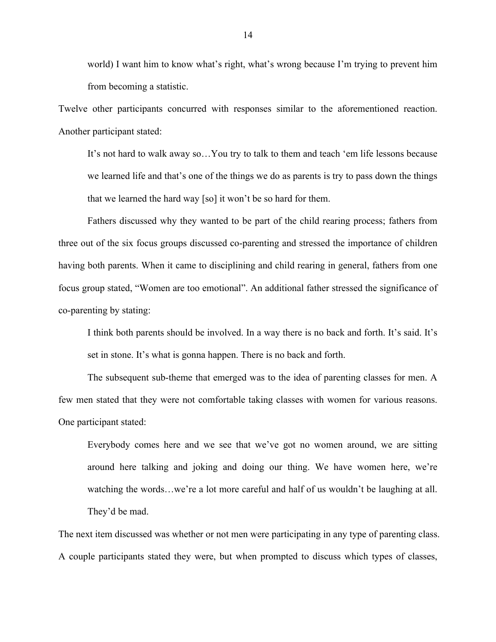world) I want him to know what's right, what's wrong because I'm trying to prevent him from becoming a statistic.

Twelve other participants concurred with responses similar to the aforementioned reaction. Another participant stated:

It's not hard to walk away so…You try to talk to them and teach 'em life lessons because we learned life and that's one of the things we do as parents is try to pass down the things that we learned the hard way [so] it won't be so hard for them.

Fathers discussed why they wanted to be part of the child rearing process; fathers from three out of the six focus groups discussed co-parenting and stressed the importance of children having both parents. When it came to disciplining and child rearing in general, fathers from one focus group stated, "Women are too emotional". An additional father stressed the significance of co-parenting by stating:

I think both parents should be involved. In a way there is no back and forth. It's said. It's set in stone. It's what is gonna happen. There is no back and forth.

The subsequent sub-theme that emerged was to the idea of parenting classes for men. A few men stated that they were not comfortable taking classes with women for various reasons. One participant stated:

Everybody comes here and we see that we've got no women around, we are sitting around here talking and joking and doing our thing. We have women here, we're watching the words…we're a lot more careful and half of us wouldn't be laughing at all. They'd be mad.

The next item discussed was whether or not men were participating in any type of parenting class. A couple participants stated they were, but when prompted to discuss which types of classes,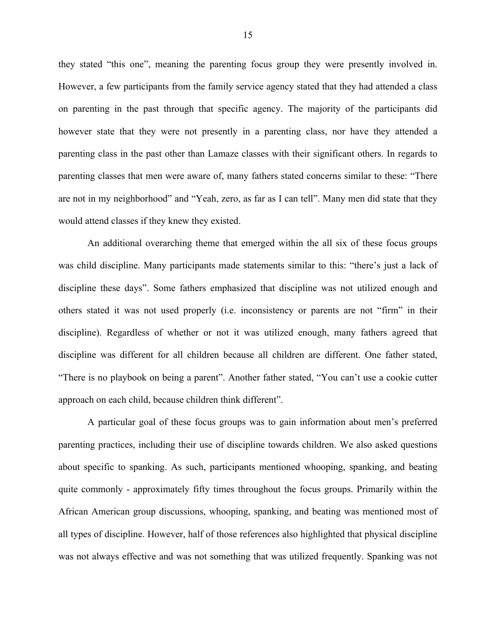they stated "this one", meaning the parenting focus group they were presently involved in. However, a few participants from the family service agency stated that they had attended a class on parenting in the past through that specific agency. The majority of the participants did however state that they were not presently in a parenting class, nor have they attended a parenting class in the past other than Lamaze classes with their significant others. In regards to parenting classes that men were aware of, many fathers stated concerns similar to these: "There are not in my neighborhood" and "Yeah, zero, as far as I can tell". Many men did state that they would attend classes if they knew they existed.

An additional overarching theme that emerged within the all six of these focus groups was child discipline. Many participants made statements similar to this: "there's just a lack of discipline these days". Some fathers emphasized that discipline was not utilized enough and others stated it was not used properly (i.e. inconsistency or parents are not "firm" in their discipline). Regardless of whether or not it was utilized enough, many fathers agreed that discipline was different for all children because all children are different. One father stated, "There is no playbook on being a parent". Another father stated, "You can't use a cookie cutter approach on each child, because children think different".

A particular goal of these focus groups was to gain information about men's preferred parenting practices, including their use of discipline towards children. We also asked questions about specific to spanking. As such, participants mentioned whooping, spanking, and beating quite commonly - approximately fifty times throughout the focus groups. Primarily within the African American group discussions, whooping, spanking, and beating was mentioned most of all types of discipline. However, half of those references also highlighted that physical discipline was not always effective and was not something that was utilized frequently. Spanking was not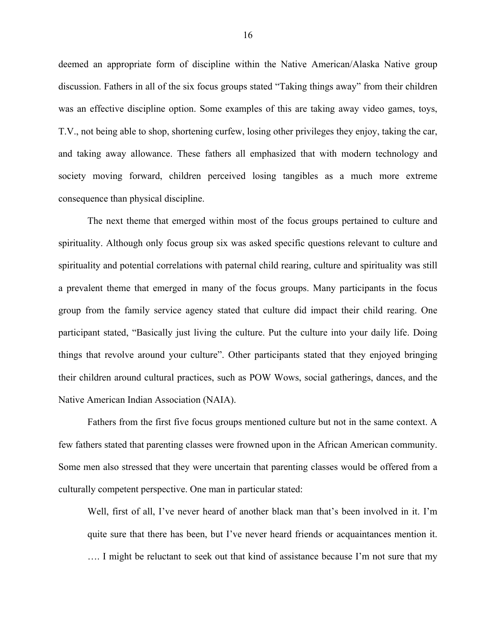deemed an appropriate form of discipline within the Native American/Alaska Native group discussion. Fathers in all of the six focus groups stated "Taking things away" from their children was an effective discipline option. Some examples of this are taking away video games, toys, T.V., not being able to shop, shortening curfew, losing other privileges they enjoy, taking the car, and taking away allowance. These fathers all emphasized that with modern technology and society moving forward, children perceived losing tangibles as a much more extreme consequence than physical discipline.

The next theme that emerged within most of the focus groups pertained to culture and spirituality. Although only focus group six was asked specific questions relevant to culture and spirituality and potential correlations with paternal child rearing, culture and spirituality was still a prevalent theme that emerged in many of the focus groups. Many participants in the focus group from the family service agency stated that culture did impact their child rearing. One participant stated, "Basically just living the culture. Put the culture into your daily life. Doing things that revolve around your culture". Other participants stated that they enjoyed bringing their children around cultural practices, such as POW Wows, social gatherings, dances, and the Native American Indian Association (NAIA).

Fathers from the first five focus groups mentioned culture but not in the same context. A few fathers stated that parenting classes were frowned upon in the African American community. Some men also stressed that they were uncertain that parenting classes would be offered from a culturally competent perspective. One man in particular stated:

Well, first of all, I've never heard of another black man that's been involved in it. I'm quite sure that there has been, but I've never heard friends or acquaintances mention it. …. I might be reluctant to seek out that kind of assistance because I'm not sure that my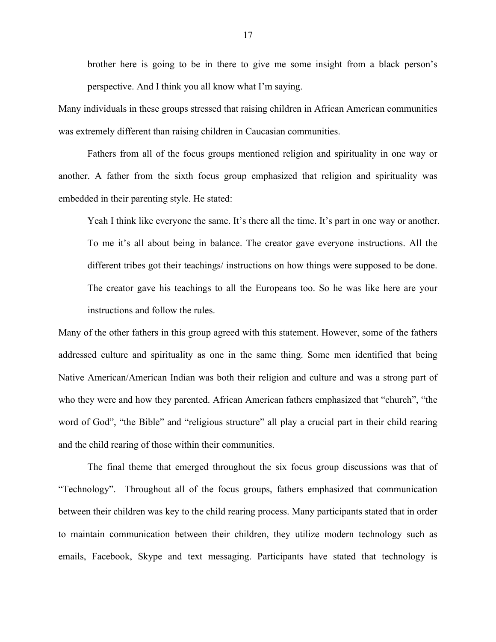brother here is going to be in there to give me some insight from a black person's perspective. And I think you all know what I'm saying.

Many individuals in these groups stressed that raising children in African American communities was extremely different than raising children in Caucasian communities.

Fathers from all of the focus groups mentioned religion and spirituality in one way or another. A father from the sixth focus group emphasized that religion and spirituality was embedded in their parenting style. He stated:

Yeah I think like everyone the same. It's there all the time. It's part in one way or another. To me it's all about being in balance. The creator gave everyone instructions. All the different tribes got their teachings/ instructions on how things were supposed to be done. The creator gave his teachings to all the Europeans too. So he was like here are your instructions and follow the rules.

Many of the other fathers in this group agreed with this statement. However, some of the fathers addressed culture and spirituality as one in the same thing. Some men identified that being Native American/American Indian was both their religion and culture and was a strong part of who they were and how they parented. African American fathers emphasized that "church", "the word of God", "the Bible" and "religious structure" all play a crucial part in their child rearing and the child rearing of those within their communities.

The final theme that emerged throughout the six focus group discussions was that of "Technology". Throughout all of the focus groups, fathers emphasized that communication between their children was key to the child rearing process. Many participants stated that in order to maintain communication between their children, they utilize modern technology such as emails, Facebook, Skype and text messaging. Participants have stated that technology is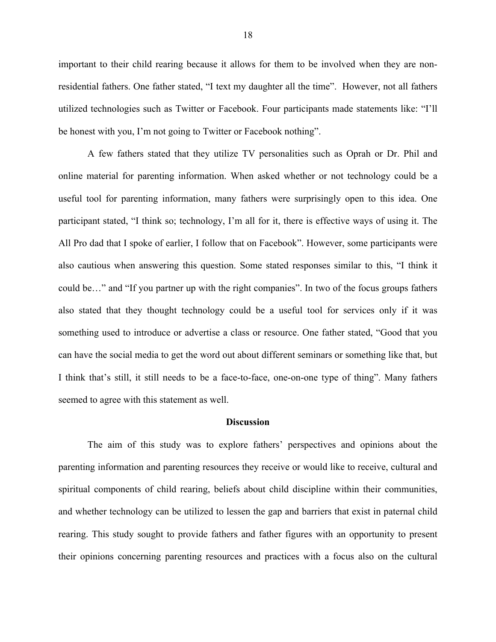important to their child rearing because it allows for them to be involved when they are nonresidential fathers. One father stated, "I text my daughter all the time". However, not all fathers utilized technologies such as Twitter or Facebook. Four participants made statements like: "I'll be honest with you, I'm not going to Twitter or Facebook nothing".

A few fathers stated that they utilize TV personalities such as Oprah or Dr. Phil and online material for parenting information. When asked whether or not technology could be a useful tool for parenting information, many fathers were surprisingly open to this idea. One participant stated, "I think so; technology, I'm all for it, there is effective ways of using it. The All Pro dad that I spoke of earlier, I follow that on Facebook". However, some participants were also cautious when answering this question. Some stated responses similar to this, "I think it could be…" and "If you partner up with the right companies". In two of the focus groups fathers also stated that they thought technology could be a useful tool for services only if it was something used to introduce or advertise a class or resource. One father stated, "Good that you can have the social media to get the word out about different seminars or something like that, but I think that's still, it still needs to be a face-to-face, one-on-one type of thing". Many fathers seemed to agree with this statement as well.

#### **Discussion**

The aim of this study was to explore fathers' perspectives and opinions about the parenting information and parenting resources they receive or would like to receive, cultural and spiritual components of child rearing, beliefs about child discipline within their communities, and whether technology can be utilized to lessen the gap and barriers that exist in paternal child rearing. This study sought to provide fathers and father figures with an opportunity to present their opinions concerning parenting resources and practices with a focus also on the cultural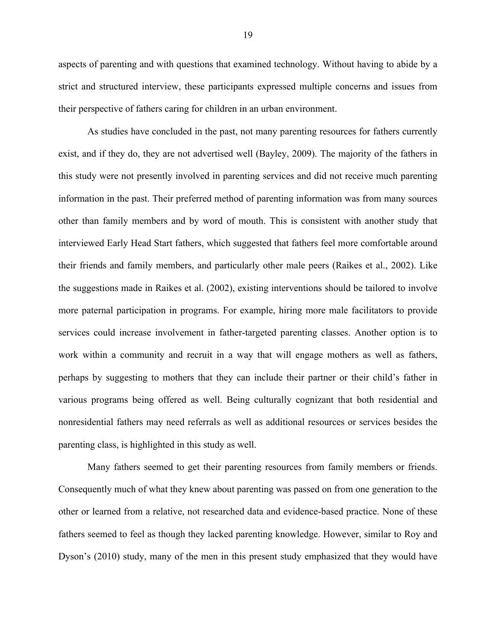aspects of parenting and with questions that examined technology. Without having to abide by a strict and structured interview, these participants expressed multiple concerns and issues from their perspective of fathers caring for children in an urban environment.

As studies have concluded in the past, not many parenting resources for fathers currently exist, and if they do, they are not advertised well (Bayley, 2009). The majority of the fathers in this study were not presently involved in parenting services and did not receive much parenting information in the past. Their preferred method of parenting information was from many sources other than family members and by word of mouth. This is consistent with another study that interviewed Early Head Start fathers, which suggested that fathers feel more comfortable around their friends and family members, and particularly other male peers (Raikes et al., 2002). Like the suggestions made in Raikes et al. (2002), existing interventions should be tailored to involve more paternal participation in programs. For example, hiring more male facilitators to provide services could increase involvement in father-targeted parenting classes. Another option is to work within a community and recruit in a way that will engage mothers as well as fathers, perhaps by suggesting to mothers that they can include their partner or their child's father in various programs being offered as well. Being culturally cognizant that both residential and nonresidential fathers may need referrals as well as additional resources or services besides the parenting class, is highlighted in this study as well.

Many fathers seemed to get their parenting resources from family members or friends. Consequently much of what they knew about parenting was passed on from one generation to the other or learned from a relative, not researched data and evidence-based practice. None of these fathers seemed to feel as though they lacked parenting knowledge. However, similar to Roy and Dyson's (2010) study, many of the men in this present study emphasized that they would have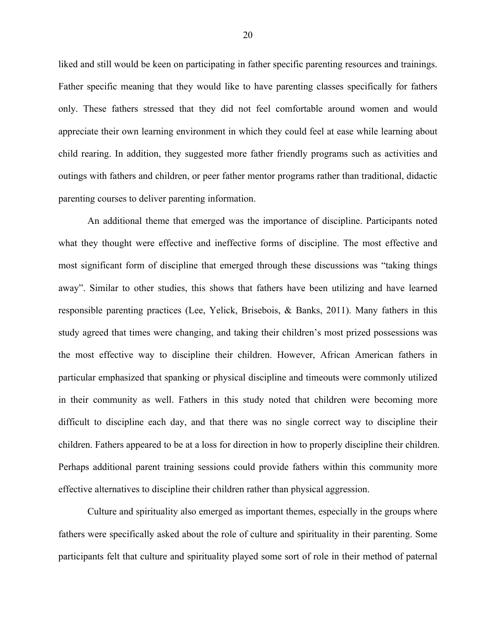liked and still would be keen on participating in father specific parenting resources and trainings. Father specific meaning that they would like to have parenting classes specifically for fathers only. These fathers stressed that they did not feel comfortable around women and would appreciate their own learning environment in which they could feel at ease while learning about child rearing. In addition, they suggested more father friendly programs such as activities and outings with fathers and children, or peer father mentor programs rather than traditional, didactic parenting courses to deliver parenting information.

An additional theme that emerged was the importance of discipline. Participants noted what they thought were effective and ineffective forms of discipline. The most effective and most significant form of discipline that emerged through these discussions was "taking things away". Similar to other studies, this shows that fathers have been utilizing and have learned responsible parenting practices (Lee, Yelick, Brisebois, & Banks, 2011). Many fathers in this study agreed that times were changing, and taking their children's most prized possessions was the most effective way to discipline their children. However, African American fathers in particular emphasized that spanking or physical discipline and timeouts were commonly utilized in their community as well. Fathers in this study noted that children were becoming more difficult to discipline each day, and that there was no single correct way to discipline their children. Fathers appeared to be at a loss for direction in how to properly discipline their children. Perhaps additional parent training sessions could provide fathers within this community more effective alternatives to discipline their children rather than physical aggression.

Culture and spirituality also emerged as important themes, especially in the groups where fathers were specifically asked about the role of culture and spirituality in their parenting. Some participants felt that culture and spirituality played some sort of role in their method of paternal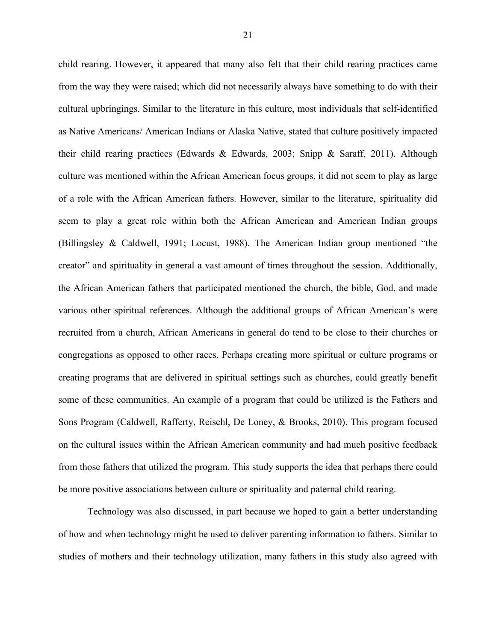child rearing. However, it appeared that many also felt that their child rearing practices came from the way they were raised; which did not necessarily always have something to do with their cultural upbringings. Similar to the literature in this culture, most individuals that self-identified as Native Americans/ American Indians or Alaska Native, stated that culture positively impacted their child rearing practices (Edwards & Edwards, 2003; Snipp & Saraff, 2011). Although culture was mentioned within the African American focus groups, it did not seem to play as large of a role with the African American fathers. However, similar to the literature, spirituality did seem to play a great role within both the African American and American Indian groups (Billingsley & Caldwell, 1991; Locust, 1988). The American Indian group mentioned "the creator" and spirituality in general a vast amount of times throughout the session. Additionally, the African American fathers that participated mentioned the church, the bible, God, and made various other spiritual references. Although the additional groups of African American's were recruited from a church, African Americans in general do tend to be close to their churches or congregations as opposed to other races. Perhaps creating more spiritual or culture programs or creating programs that are delivered in spiritual settings such as churches, could greatly benefit some of these communities. An example of a program that could be utilized is the Fathers and Sons Program (Caldwell, Rafferty, Reischl, De Loney, & Brooks, 2010). This program focused on the cultural issues within the African American community and had much positive feedback from those fathers that utilized the program. This study supports the idea that perhaps there could be more positive associations between culture or spirituality and paternal child rearing.

Technology was also discussed, in part because we hoped to gain a better understanding of how and when technology might be used to deliver parenting information to fathers. Similar to studies of mothers and their technology utilization, many fathers in this study also agreed with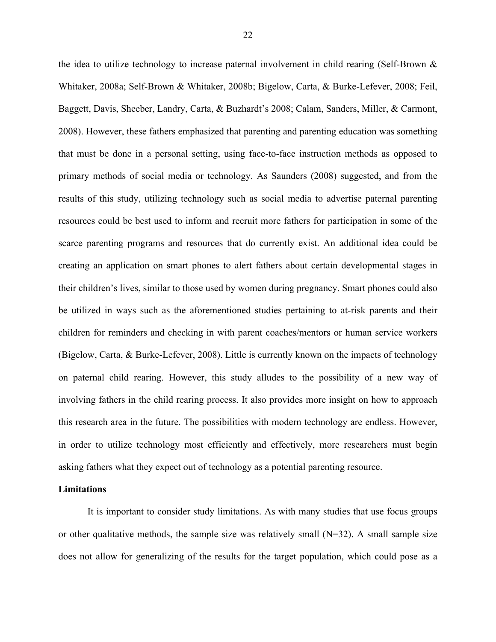the idea to utilize technology to increase paternal involvement in child rearing (Self-Brown & Whitaker, 2008a; Self-Brown & Whitaker, 2008b; Bigelow, Carta, & Burke-Lefever, 2008; Feil, Baggett, Davis, Sheeber, Landry, Carta, & Buzhardt's 2008; Calam, Sanders, Miller, & Carmont, 2008). However, these fathers emphasized that parenting and parenting education was something that must be done in a personal setting, using face-to-face instruction methods as opposed to primary methods of social media or technology. As Saunders (2008) suggested, and from the results of this study, utilizing technology such as social media to advertise paternal parenting resources could be best used to inform and recruit more fathers for participation in some of the scarce parenting programs and resources that do currently exist. An additional idea could be creating an application on smart phones to alert fathers about certain developmental stages in their children's lives, similar to those used by women during pregnancy. Smart phones could also be utilized in ways such as the aforementioned studies pertaining to at-risk parents and their children for reminders and checking in with parent coaches/mentors or human service workers (Bigelow, Carta, & Burke-Lefever, 2008). Little is currently known on the impacts of technology on paternal child rearing. However, this study alludes to the possibility of a new way of involving fathers in the child rearing process. It also provides more insight on how to approach this research area in the future. The possibilities with modern technology are endless. However, in order to utilize technology most efficiently and effectively, more researchers must begin asking fathers what they expect out of technology as a potential parenting resource.

#### **Limitations**

It is important to consider study limitations. As with many studies that use focus groups or other qualitative methods, the sample size was relatively small  $(N=32)$ . A small sample size does not allow for generalizing of the results for the target population, which could pose as a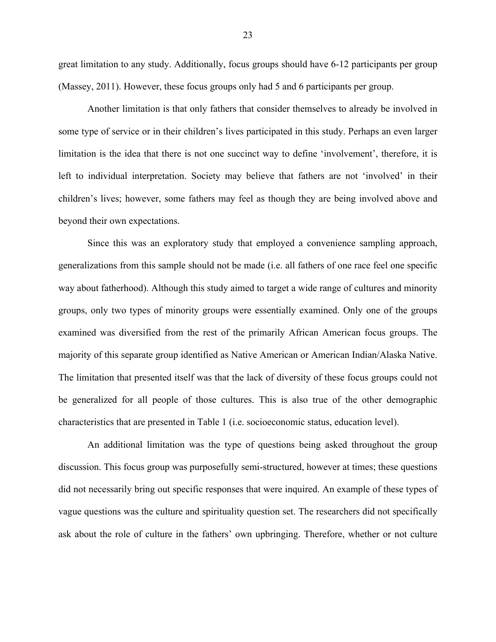great limitation to any study. Additionally, focus groups should have 6-12 participants per group (Massey, 2011). However, these focus groups only had 5 and 6 participants per group.

Another limitation is that only fathers that consider themselves to already be involved in some type of service or in their children's lives participated in this study. Perhaps an even larger limitation is the idea that there is not one succinct way to define 'involvement', therefore, it is left to individual interpretation. Society may believe that fathers are not 'involved' in their children's lives; however, some fathers may feel as though they are being involved above and beyond their own expectations.

Since this was an exploratory study that employed a convenience sampling approach, generalizations from this sample should not be made (i.e. all fathers of one race feel one specific way about fatherhood). Although this study aimed to target a wide range of cultures and minority groups, only two types of minority groups were essentially examined. Only one of the groups examined was diversified from the rest of the primarily African American focus groups. The majority of this separate group identified as Native American or American Indian/Alaska Native. The limitation that presented itself was that the lack of diversity of these focus groups could not be generalized for all people of those cultures. This is also true of the other demographic characteristics that are presented in Table 1 (i.e. socioeconomic status, education level).

An additional limitation was the type of questions being asked throughout the group discussion. This focus group was purposefully semi-structured, however at times; these questions did not necessarily bring out specific responses that were inquired. An example of these types of vague questions was the culture and spirituality question set. The researchers did not specifically ask about the role of culture in the fathers' own upbringing. Therefore, whether or not culture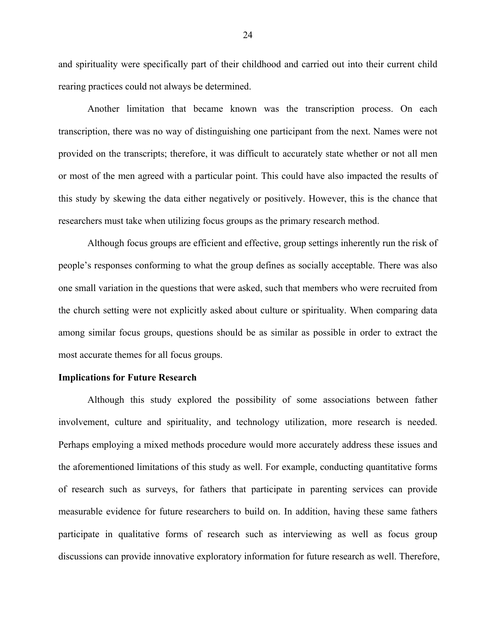and spirituality were specifically part of their childhood and carried out into their current child rearing practices could not always be determined.

Another limitation that became known was the transcription process. On each transcription, there was no way of distinguishing one participant from the next. Names were not provided on the transcripts; therefore, it was difficult to accurately state whether or not all men or most of the men agreed with a particular point. This could have also impacted the results of this study by skewing the data either negatively or positively. However, this is the chance that researchers must take when utilizing focus groups as the primary research method.

Although focus groups are efficient and effective, group settings inherently run the risk of people's responses conforming to what the group defines as socially acceptable. There was also one small variation in the questions that were asked, such that members who were recruited from the church setting were not explicitly asked about culture or spirituality. When comparing data among similar focus groups, questions should be as similar as possible in order to extract the most accurate themes for all focus groups.

#### **Implications for Future Research**

Although this study explored the possibility of some associations between father involvement, culture and spirituality, and technology utilization, more research is needed. Perhaps employing a mixed methods procedure would more accurately address these issues and the aforementioned limitations of this study as well. For example, conducting quantitative forms of research such as surveys, for fathers that participate in parenting services can provide measurable evidence for future researchers to build on. In addition, having these same fathers participate in qualitative forms of research such as interviewing as well as focus group discussions can provide innovative exploratory information for future research as well. Therefore,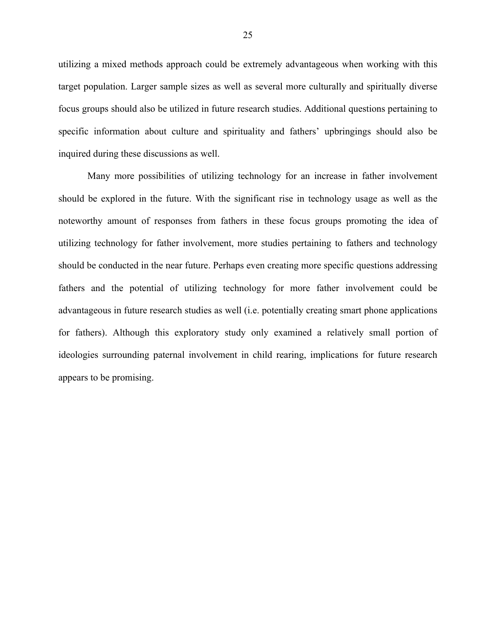utilizing a mixed methods approach could be extremely advantageous when working with this target population. Larger sample sizes as well as several more culturally and spiritually diverse focus groups should also be utilized in future research studies. Additional questions pertaining to specific information about culture and spirituality and fathers' upbringings should also be inquired during these discussions as well.

Many more possibilities of utilizing technology for an increase in father involvement should be explored in the future. With the significant rise in technology usage as well as the noteworthy amount of responses from fathers in these focus groups promoting the idea of utilizing technology for father involvement, more studies pertaining to fathers and technology should be conducted in the near future. Perhaps even creating more specific questions addressing fathers and the potential of utilizing technology for more father involvement could be advantageous in future research studies as well (i.e. potentially creating smart phone applications for fathers). Although this exploratory study only examined a relatively small portion of ideologies surrounding paternal involvement in child rearing, implications for future research appears to be promising.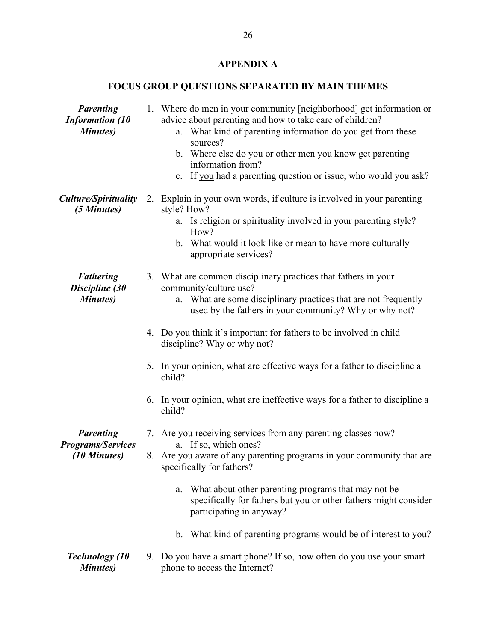### **APPENDIX A**

## **FOCUS GROUP QUESTIONS SEPARATED BY MAIN THEMES**

| <b>Parenting</b><br><b>Information (10</b><br><b>Minutes</b> ) |    | 1. Where do men in your community [neighborhood] get information or<br>advice about parenting and how to take care of children?<br>What kind of parenting information do you get from these<br>a.<br>sources?<br>b. Where else do you or other men you know get parenting<br>information from?<br>c. If you had a parenting question or issue, who would you ask? |
|----------------------------------------------------------------|----|-------------------------------------------------------------------------------------------------------------------------------------------------------------------------------------------------------------------------------------------------------------------------------------------------------------------------------------------------------------------|
| <b>Culture/Spirituality</b><br>(5 Minutes)                     |    | 2. Explain in your own words, if culture is involved in your parenting<br>style? How?<br>a. Is religion or spirituality involved in your parenting style?<br>How?<br>b. What would it look like or mean to have more culturally<br>appropriate services?                                                                                                          |
| <b>Fathering</b><br>Discipline (30<br><b>Minutes</b> )         |    | 3. What are common disciplinary practices that fathers in your<br>community/culture use?<br>What are some disciplinary practices that are not frequently<br>a.<br>used by the fathers in your community? Why or why not?                                                                                                                                          |
|                                                                |    | 4. Do you think it's important for fathers to be involved in child<br>discipline? Why or why not?                                                                                                                                                                                                                                                                 |
|                                                                |    | 5. In your opinion, what are effective ways for a father to discipline a<br>child?                                                                                                                                                                                                                                                                                |
|                                                                | 6. | In your opinion, what are ineffective ways for a father to discipline a<br>child?                                                                                                                                                                                                                                                                                 |
| <b>Parenting</b><br><b>Programs/Services</b><br>(10 Minutes)   |    | 7. Are you receiving services from any parenting classes now?<br>a. If so, which ones?<br>8. Are you aware of any parenting programs in your community that are<br>specifically for fathers?                                                                                                                                                                      |
|                                                                |    | What about other parenting programs that may not be.<br>a.<br>specifically for fathers but you or other fathers might consider<br>participating in anyway?                                                                                                                                                                                                        |
|                                                                |    | What kind of parenting programs would be of interest to you?<br>$\mathbf{b}$ .                                                                                                                                                                                                                                                                                    |
| <b>Technology</b> (10<br><b>Minutes</b> )                      |    | 9. Do you have a smart phone? If so, how often do you use your smart<br>phone to access the Internet?                                                                                                                                                                                                                                                             |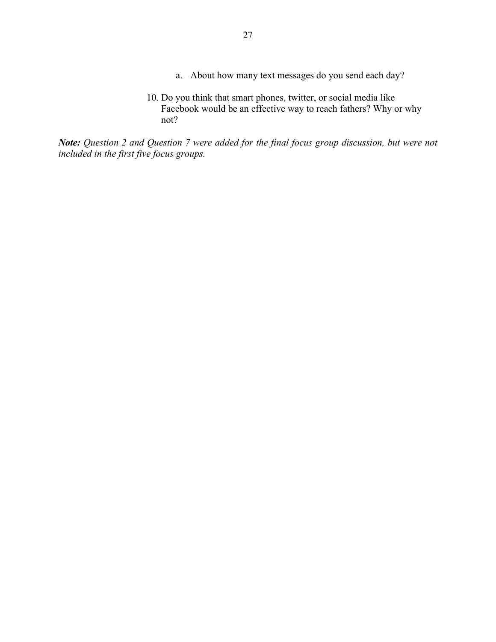- a. About how many text messages do you send each day?
- 10. Do you think that smart phones, twitter, or social media like Facebook would be an effective way to reach fathers? Why or why not?

*Note: Question 2 and Question 7 were added for the final focus group discussion, but were not included in the first five focus groups.*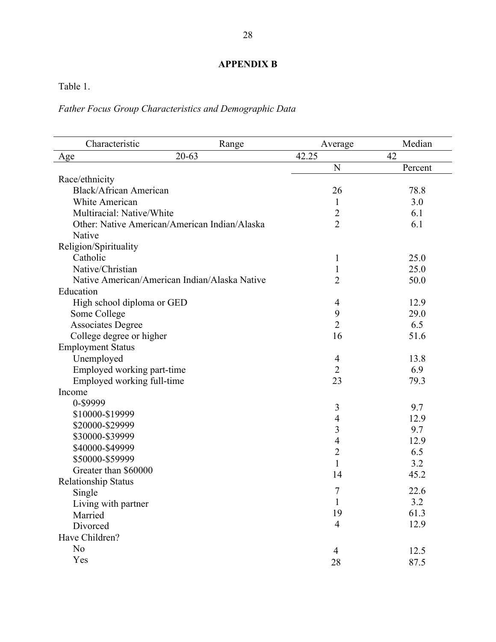### **APPENDIX B**

Table 1.

### *Father Focus Group Characteristics and Demographic Data*

| Characteristic                                | Range     | Average        | Median  |
|-----------------------------------------------|-----------|----------------|---------|
| Age                                           | $20 - 63$ | 42.25          | 42      |
|                                               |           | N              | Percent |
| Race/ethnicity                                |           |                |         |
| <b>Black/African American</b>                 |           | 26             | 78.8    |
| White American                                |           | $\mathbf{1}$   | 3.0     |
| Multiracial: Native/White                     |           | $\overline{c}$ | 6.1     |
| Other: Native American/American Indian/Alaska |           | $\overline{2}$ | 6.1     |
| Native                                        |           |                |         |
| Religion/Spirituality                         |           |                |         |
| Catholic                                      |           | 1              | 25.0    |
| Native/Christian                              |           | $\mathbf{1}$   | 25.0    |
| Native American/American Indian/Alaska Native |           | $\overline{2}$ | 50.0    |
| Education                                     |           |                |         |
| High school diploma or GED                    |           | 4              | 12.9    |
| Some College                                  |           | 9              | 29.0    |
| <b>Associates Degree</b>                      |           | $\overline{2}$ | 6.5     |
| College degree or higher                      |           | 16             | 51.6    |
| <b>Employment Status</b>                      |           |                |         |
| Unemployed                                    |           | 4              | 13.8    |
| Employed working part-time                    |           | $\overline{2}$ | 6.9     |
| Employed working full-time                    |           | 23             | 79.3    |
| Income                                        |           |                |         |
| 0-\$9999                                      |           | $\mathfrak{Z}$ | 9.7     |
| \$10000-\$19999                               |           | $\overline{4}$ | 12.9    |
| \$20000-\$29999                               |           | 3              | 9.7     |
| \$30000-\$39999                               |           | $\overline{4}$ | 12.9    |
| \$40000-\$49999                               |           | $\overline{c}$ | 6.5     |
| \$50000-\$59999                               |           | $\mathbf{1}$   | 3.2     |
| Greater than \$60000                          |           | 14             | 45.2    |
| <b>Relationship Status</b>                    |           |                |         |
| Single                                        |           | 7              | 22.6    |
| Living with partner                           |           | $\mathbf{I}$   | 3.2     |
| Married                                       |           | 19             | 61.3    |
| Divorced                                      |           | $\overline{4}$ | 12.9    |
| Have Children?                                |           |                |         |
| N <sub>0</sub>                                |           | 4              | 12.5    |
| Yes                                           |           | 28             | 87.5    |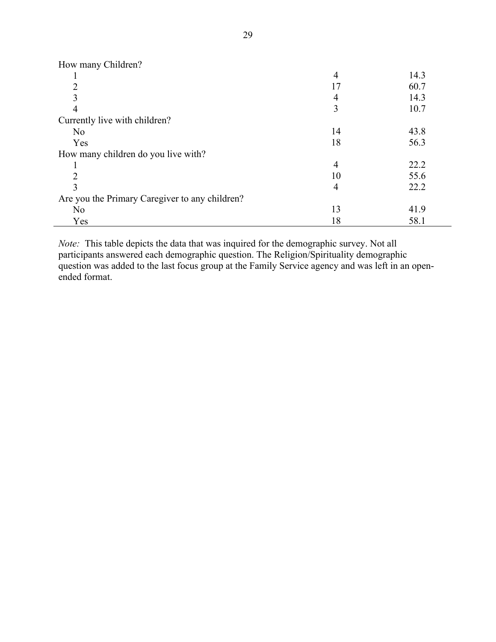| How many Children?                             |    |      |
|------------------------------------------------|----|------|
|                                                | 4  | 14.3 |
| 2                                              | 17 | 60.7 |
|                                                | 4  | 14.3 |
| 4                                              | 3  | 10.7 |
| Currently live with children?                  |    |      |
| N <sub>0</sub>                                 | 14 | 43.8 |
| Yes                                            | 18 | 56.3 |
| How many children do you live with?            |    |      |
|                                                | 4  | 22.2 |
| $\mathcal{D}_{\mathcal{A}}$                    | 10 | 55.6 |
| 3                                              | 4  | 22.2 |
| Are you the Primary Caregiver to any children? |    |      |
| N <sub>0</sub>                                 | 13 | 41.9 |
| Yes                                            | 18 | 58.1 |

*Note:* This table depicts the data that was inquired for the demographic survey. Not all participants answered each demographic question. The Religion/Spirituality demographic question was added to the last focus group at the Family Service agency and was left in an openended format.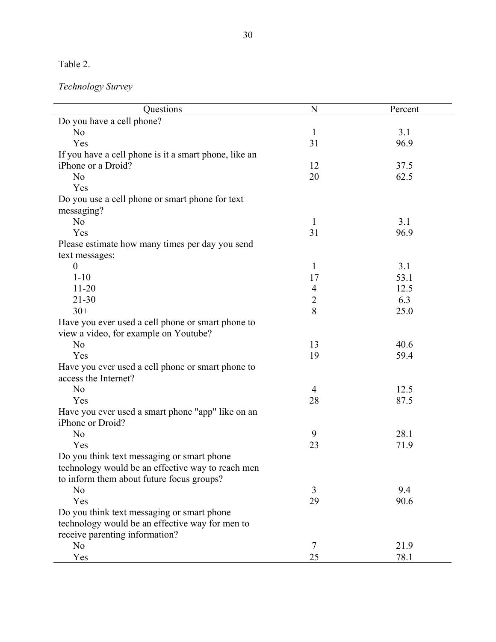Table 2.

*Technology Survey*

| Questions                                             | N              | Percent |
|-------------------------------------------------------|----------------|---------|
| Do you have a cell phone?                             |                |         |
| N <sub>o</sub>                                        | $\mathbf{1}$   | 3.1     |
| Yes                                                   | 31             | 96.9    |
| If you have a cell phone is it a smart phone, like an |                |         |
| iPhone or a Droid?                                    | 12             | 37.5    |
| N <sub>o</sub>                                        | 20             | 62.5    |
| Yes                                                   |                |         |
| Do you use a cell phone or smart phone for text       |                |         |
| messaging?                                            |                |         |
| N <sub>o</sub>                                        | $\mathbf{1}$   | 3.1     |
| Yes                                                   | 31             | 96.9    |
| Please estimate how many times per day you send       |                |         |
| text messages:                                        |                |         |
| $\boldsymbol{0}$                                      | $\mathbf{1}$   | 3.1     |
| $1 - 10$                                              | 17             | 53.1    |
| $11 - 20$                                             | $\overline{4}$ | 12.5    |
| $21 - 30$                                             | $\overline{2}$ | 6.3     |
| $30+$                                                 | 8              | 25.0    |
| Have you ever used a cell phone or smart phone to     |                |         |
| view a video, for example on Youtube?                 |                |         |
| N <sub>o</sub>                                        | 13             | 40.6    |
| Yes                                                   | 19             | 59.4    |
| Have you ever used a cell phone or smart phone to     |                |         |
| access the Internet?                                  |                |         |
| N <sub>0</sub>                                        | 4              | 12.5    |
| Yes                                                   | 28             | 87.5    |
| Have you ever used a smart phone "app" like on an     |                |         |
| iPhone or Droid?                                      |                |         |
| N <sub>o</sub>                                        | 9              | 28.1    |
| Yes                                                   | 23             | 71.9    |
| Do you think text messaging or smart phone            |                |         |
| technology would be an effective way to reach men     |                |         |
| to inform them about future focus groups?             |                |         |
| N <sub>o</sub>                                        | 3              | 9.4     |
| Yes                                                   | 29             | 90.6    |
| Do you think text messaging or smart phone            |                |         |
| technology would be an effective way for men to       |                |         |
| receive parenting information?                        |                |         |
| N <sub>o</sub>                                        | 7              | 21.9    |
| Yes                                                   | 25             | 78.1    |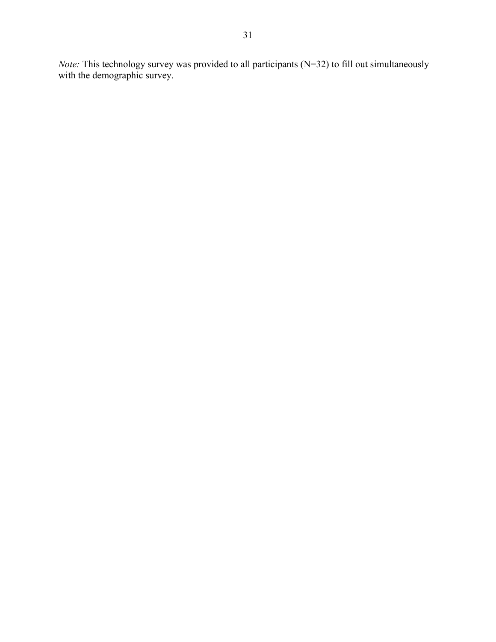*Note:* This technology survey was provided to all participants (N=32) to fill out simultaneously with the demographic survey.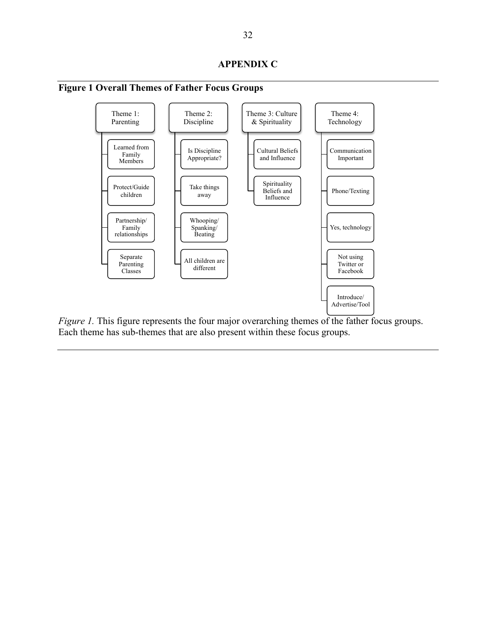

**Figure 1 Overall Themes of Father Focus Groups**

*Figure 1.* This figure represents the four major overarching themes of the father focus groups. Each theme has sub-themes that are also present within these focus groups.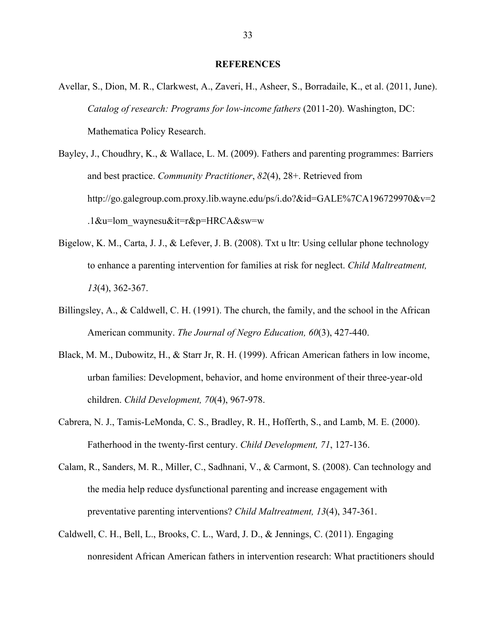#### **REFERENCES**

- Avellar, S., Dion, M. R., Clarkwest, A., Zaveri, H., Asheer, S., Borradaile, K., et al. (2011, June). *Catalog of research: Programs for low-income fathers* (2011-20). Washington, DC: Mathematica Policy Research.
- Bayley, J., Choudhry, K., & Wallace, L. M. (2009). Fathers and parenting programmes: Barriers and best practice. *Community Practitioner*, *82*(4), 28+. Retrieved from http://go.galegroup.com.proxy.lib.wayne.edu/ps/i.do?&id=GALE%7CA196729970&v=2 .1&u=lom\_waynesu&it=r&p=HRCA&sw=w
- Bigelow, K. M., Carta, J. J., & Lefever, J. B. (2008). Txt u ltr: Using cellular phone technology to enhance a parenting intervention for families at risk for neglect. *Child Maltreatment, 13*(4), 362-367.
- Billingsley, A., & Caldwell, C. H. (1991). The church, the family, and the school in the African American community. *The Journal of Negro Education, 60*(3), 427-440.
- Black, M. M., Dubowitz, H., & Starr Jr, R. H. (1999). African American fathers in low income, urban families: Development, behavior, and home environment of their three-year-old children. *Child Development, 70*(4), 967-978.
- Cabrera, N. J., Tamis-LeMonda, C. S., Bradley, R. H., Hofferth, S., and Lamb, M. E. (2000). Fatherhood in the twenty-first century. *Child Development, 71*, 127-136.
- Calam, R., Sanders, M. R., Miller, C., Sadhnani, V., & Carmont, S. (2008). Can technology and the media help reduce dysfunctional parenting and increase engagement with preventative parenting interventions? *Child Maltreatment, 13*(4), 347-361.
- Caldwell, C. H., Bell, L., Brooks, C. L., Ward, J. D., & Jennings, C. (2011). Engaging nonresident African American fathers in intervention research: What practitioners should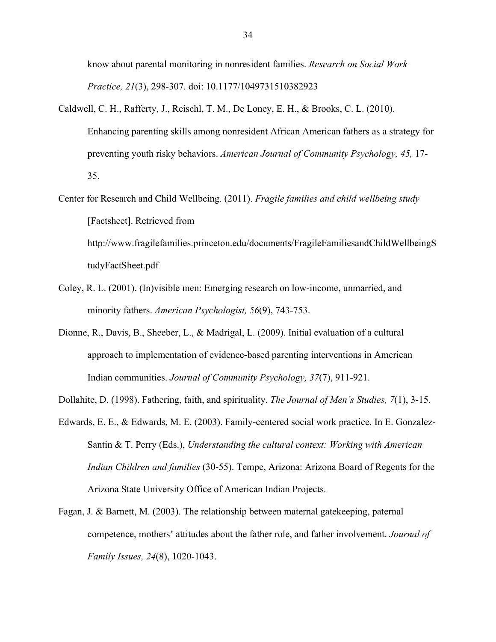know about parental monitoring in nonresident families. *Research on Social Work Practice, 21*(3), 298-307. doi: 10.1177/1049731510382923

- Caldwell, C. H., Rafferty, J., Reischl, T. M., De Loney, E. H., & Brooks, C. L. (2010). Enhancing parenting skills among nonresident African American fathers as a strategy for preventing youth risky behaviors. *American Journal of Community Psychology, 45,* 17- 35.
- Center for Research and Child Wellbeing. (2011). *Fragile families and child wellbeing study* [Factsheet]. Retrieved from http://www.fragilefamilies.princeton.edu/documents/FragileFamiliesandChildWellbeingS tudyFactSheet.pdf
- Coley, R. L. (2001). (In)visible men: Emerging research on low-income, unmarried, and minority fathers. *American Psychologist, 56*(9), 743-753.
- Dionne, R., Davis, B., Sheeber, L., & Madrigal, L. (2009). Initial evaluation of a cultural approach to implementation of evidence-based parenting interventions in American Indian communities. *Journal of Community Psychology, 37*(7), 911-921.
- Dollahite, D. (1998). Fathering, faith, and spirituality. *The Journal of Men's Studies, 7*(1), 3-15.
- Edwards, E. E., & Edwards, M. E. (2003). Family-centered social work practice. In E. Gonzalez-Santin & T. Perry (Eds.), *Understanding the cultural context: Working with American Indian Children and families* (30-55). Tempe, Arizona: Arizona Board of Regents for the Arizona State University Office of American Indian Projects.
- Fagan, J. & Barnett, M. (2003). The relationship between maternal gatekeeping, paternal competence, mothers' attitudes about the father role, and father involvement. *Journal of Family Issues, 24*(8), 1020-1043.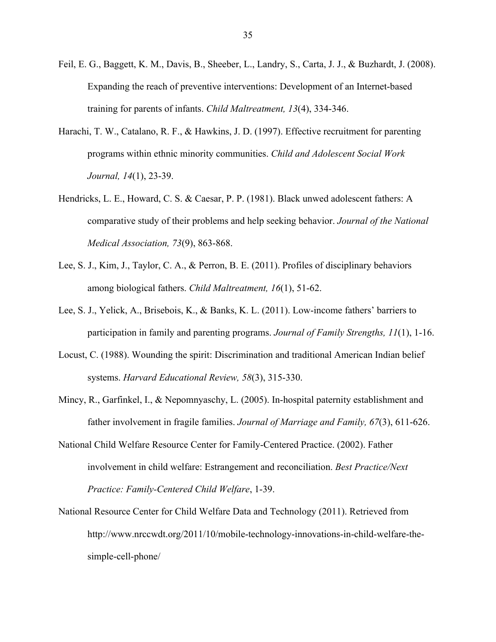- Feil, E. G., Baggett, K. M., Davis, B., Sheeber, L., Landry, S., Carta, J. J., & Buzhardt, J. (2008). Expanding the reach of preventive interventions: Development of an Internet-based training for parents of infants. *Child Maltreatment, 13*(4), 334-346.
- Harachi, T. W., Catalano, R. F., & Hawkins, J. D. (1997). Effective recruitment for parenting programs within ethnic minority communities. *Child and Adolescent Social Work Journal, 14*(1), 23-39.
- Hendricks, L. E., Howard, C. S. & Caesar, P. P. (1981). Black unwed adolescent fathers: A comparative study of their problems and help seeking behavior. *Journal of the National Medical Association, 73*(9), 863-868.
- Lee, S. J., Kim, J., Taylor, C. A., & Perron, B. E. (2011). Profiles of disciplinary behaviors among biological fathers. *Child Maltreatment, 16*(1), 51-62.
- Lee, S. J., Yelick, A., Brisebois, K., & Banks, K. L. (2011). Low-income fathers' barriers to participation in family and parenting programs. *Journal of Family Strengths, 11*(1), 1-16.
- Locust, C. (1988). Wounding the spirit: Discrimination and traditional American Indian belief systems. *Harvard Educational Review, 58*(3), 315-330.
- Mincy, R., Garfinkel, I., & Nepomnyaschy, L. (2005). In-hospital paternity establishment and father involvement in fragile families. *Journal of Marriage and Family, 67*(3), 611-626.
- National Child Welfare Resource Center for Family-Centered Practice. (2002). Father involvement in child welfare: Estrangement and reconciliation. *Best Practice/Next Practice: Family-Centered Child Welfare*, 1-39.
- National Resource Center for Child Welfare Data and Technology (2011). Retrieved from http://www.nrccwdt.org/2011/10/mobile-technology-innovations-in-child-welfare-thesimple-cell-phone/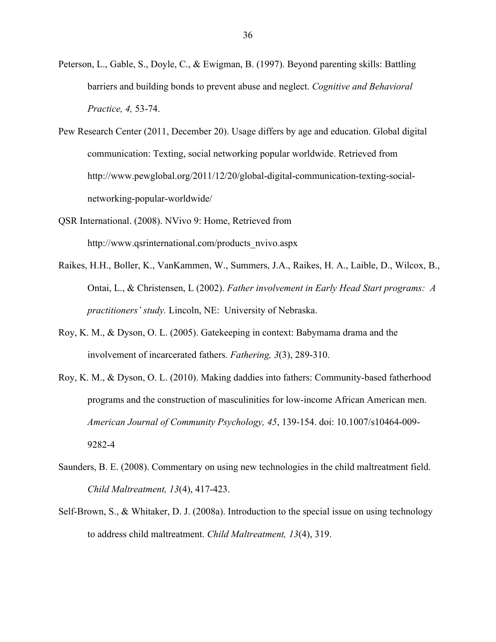- Peterson, L., Gable, S., Doyle, C., & Ewigman, B. (1997). Beyond parenting skills: Battling barriers and building bonds to prevent abuse and neglect. *Cognitive and Behavioral Practice, 4,* 53-74.
- Pew Research Center (2011, December 20). Usage differs by age and education. Global digital communication: Texting, social networking popular worldwide. Retrieved from http://www.pewglobal.org/2011/12/20/global-digital-communication-texting-socialnetworking-popular-worldwide/
- QSR International. (2008). NVivo 9: Home, Retrieved from http://www.qsrinternational.com/products\_nvivo.aspx
- Raikes, H.H., Boller, K., VanKammen, W., Summers, J.A., Raikes, H. A., Laible, D., Wilcox, B., Ontai, L., & Christensen, L (2002). *Father involvement in Early Head Start programs: A practitioners' study.* Lincoln, NE: University of Nebraska.
- Roy, K. M., & Dyson, O. L. (2005). Gatekeeping in context: Babymama drama and the involvement of incarcerated fathers. *Fathering, 3*(3), 289-310.
- Roy, K. M., & Dyson, O. L. (2010). Making daddies into fathers: Community-based fatherhood programs and the construction of masculinities for low-income African American men. *American Journal of Community Psychology, 45*, 139-154. doi: 10.1007/s10464-009- 9282-4
- Saunders, B. E. (2008). Commentary on using new technologies in the child maltreatment field. *Child Maltreatment, 13*(4), 417-423.
- Self-Brown, S., & Whitaker, D. J. (2008a). Introduction to the special issue on using technology to address child maltreatment. *Child Maltreatment, 13*(4), 319.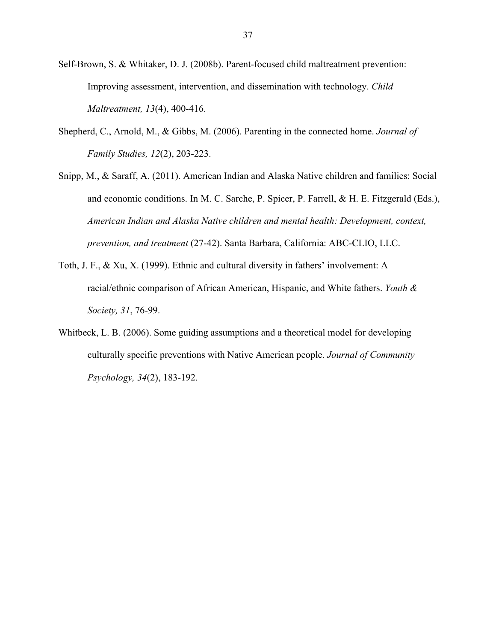- Self-Brown, S. & Whitaker, D. J. (2008b). Parent-focused child maltreatment prevention: Improving assessment, intervention, and dissemination with technology. *Child Maltreatment, 13*(4), 400-416.
- Shepherd, C., Arnold, M., & Gibbs, M. (2006). Parenting in the connected home. *Journal of Family Studies, 12*(2), 203-223.
- Snipp, M., & Saraff, A. (2011). American Indian and Alaska Native children and families: Social and economic conditions. In M. C. Sarche, P. Spicer, P. Farrell, & H. E. Fitzgerald (Eds.), *American Indian and Alaska Native children and mental health: Development, context, prevention, and treatment* (27-42). Santa Barbara, California: ABC-CLIO, LLC.
- Toth, J. F., & Xu, X. (1999). Ethnic and cultural diversity in fathers' involvement: A racial/ethnic comparison of African American, Hispanic, and White fathers. *Youth & Society, 31*, 76-99.
- Whitbeck, L. B. (2006). Some guiding assumptions and a theoretical model for developing culturally specific preventions with Native American people. *Journal of Community Psychology, 34*(2), 183-192.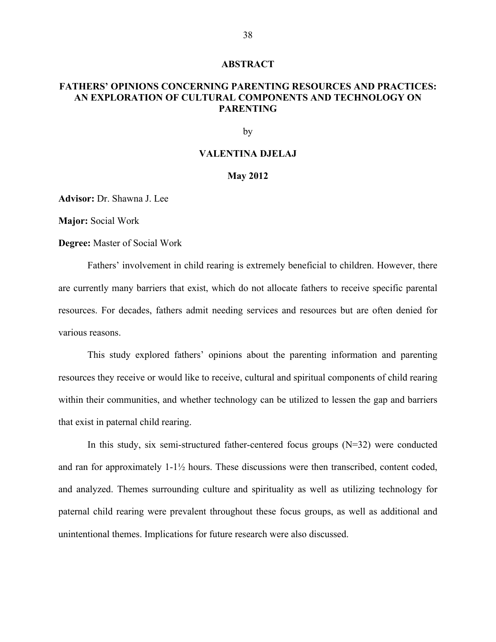#### **ABSTRACT**

#### **FATHERS' OPINIONS CONCERNING PARENTING RESOURCES AND PRACTICES: AN EXPLORATION OF CULTURAL COMPONENTS AND TECHNOLOGY ON PARENTING**

by

#### **VALENTINA DJELAJ**

#### **May 2012**

**Advisor:** Dr. Shawna J. Lee

**Major:** Social Work

**Degree:** Master of Social Work

Fathers' involvement in child rearing is extremely beneficial to children. However, there are currently many barriers that exist, which do not allocate fathers to receive specific parental resources. For decades, fathers admit needing services and resources but are often denied for various reasons.

This study explored fathers' opinions about the parenting information and parenting resources they receive or would like to receive, cultural and spiritual components of child rearing within their communities, and whether technology can be utilized to lessen the gap and barriers that exist in paternal child rearing.

In this study, six semi-structured father-centered focus groups  $(N=32)$  were conducted and ran for approximately 1-1½ hours. These discussions were then transcribed, content coded, and analyzed. Themes surrounding culture and spirituality as well as utilizing technology for paternal child rearing were prevalent throughout these focus groups, as well as additional and unintentional themes. Implications for future research were also discussed.